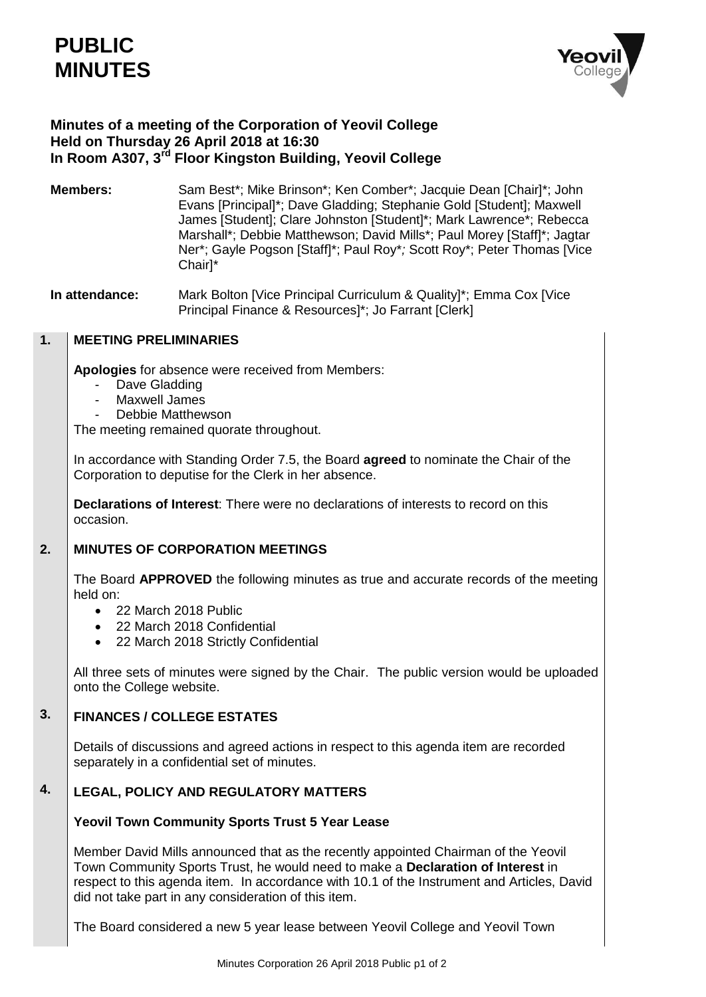

# **Minutes of a meeting of the Corporation of Yeovil College Held on Thursday 26 April 2018 at 16:30 In Room A307, 3rd Floor Kingston Building, Yeovil College**

- **Members:** Sam Best\*; Mike Brinson\*; Ken Comber\*; Jacquie Dean [Chair]\*; John Evans [Principal]\*; Dave Gladding; Stephanie Gold [Student]; Maxwell James [Student]; Clare Johnston [Student]\*; Mark Lawrence\*; Rebecca Marshall\*; Debbie Matthewson; David Mills\*; Paul Morey [Staff]\*; Jagtar Ner\*; Gayle Pogson [Staff]\*; Paul Roy\**;* Scott Roy\*; Peter Thomas [Vice Chair]\*
- **In attendance:** Mark Bolton [Vice Principal Curriculum & Quality]\*; Emma Cox [Vice Principal Finance & Resources]\*; Jo Farrant [Clerk]

### **1. MEETING PRELIMINARIES**

**Apologies** for absence were received from Members:

- Dave Gladding
- Maxwell James
- Debbie Matthewson

The meeting remained quorate throughout.

In accordance with Standing Order 7.5, the Board **agreed** to nominate the Chair of the Corporation to deputise for the Clerk in her absence.

**Declarations of Interest**: There were no declarations of interests to record on this occasion.

#### **2. MINUTES OF CORPORATION MEETINGS**

The Board **APPROVED** the following minutes as true and accurate records of the meeting held on:

- 22 March 2018 Public
- 22 March 2018 Confidential
- 22 March 2018 Strictly Confidential

All three sets of minutes were signed by the Chair. The public version would be uploaded onto the College website.

### **3. FINANCES / COLLEGE ESTATES**

Details of discussions and agreed actions in respect to this agenda item are recorded separately in a confidential set of minutes.

## **4. LEGAL, POLICY AND REGULATORY MATTERS**

# **Yeovil Town Community Sports Trust 5 Year Lease**

Member David Mills announced that as the recently appointed Chairman of the Yeovil Town Community Sports Trust, he would need to make a **Declaration of Interest** in respect to this agenda item. In accordance with 10.1 of the Instrument and Articles, David did not take part in any consideration of this item.

The Board considered a new 5 year lease between Yeovil College and Yeovil Town